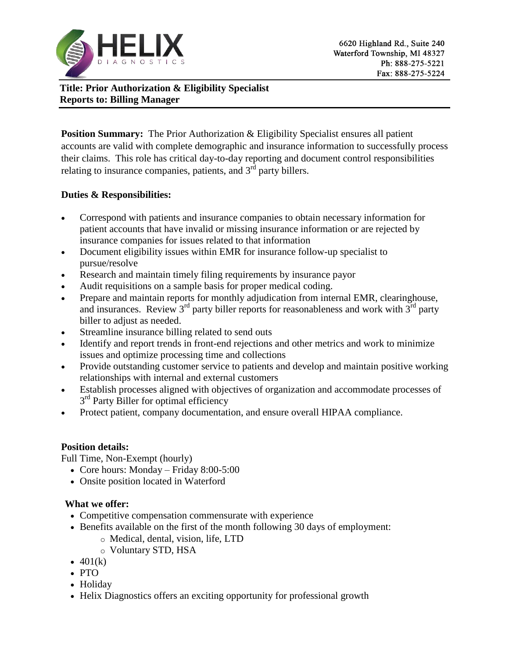

**Title: Prior Authorization & Eligibility Specialist Reports to: Billing Manager**

**Position Summary:** The Prior Authorization & Eligibility Specialist ensures all patient accounts are valid with complete demographic and insurance information to successfully process their claims. This role has critical day-to-day reporting and document control responsibilities relating to insurance companies, patients, and  $3<sup>rd</sup>$  party billers.

## **Duties & Responsibilities:**

- Correspond with patients and insurance companies to obtain necessary information for patient accounts that have invalid or missing insurance information or are rejected by insurance companies for issues related to that information
- Document eligibility issues within EMR for insurance follow-up specialist to pursue/resolve
- Research and maintain timely filing requirements by insurance payor
- Audit requisitions on a sample basis for proper medical coding.
- Prepare and maintain reports for monthly adjudication from internal EMR, clearinghouse, and insurances. Review  $3<sup>rd</sup>$  party biller reports for reasonableness and work with  $3<sup>rd</sup>$  party biller to adjust as needed.
- Streamline insurance billing related to send outs
- Identify and report trends in front-end rejections and other metrics and work to minimize issues and optimize processing time and collections
- Provide outstanding customer service to patients and develop and maintain positive working relationships with internal and external customers
- Establish processes aligned with objectives of organization and accommodate processes of 3<sup>rd</sup> Party Biller for optimal efficiency
- Protect patient, company documentation, and ensure overall HIPAA compliance.

## **Position details:**

Full Time, Non-Exempt (hourly)

- Core hours: Monday Friday 8:00-5:00
- Onsite position located in Waterford

# **What we offer:**

- Competitive compensation commensurate with experience
- Benefits available on the first of the month following 30 days of employment:
	- o Medical, dental, vision, life, LTD
	- o Voluntary STD, HSA
- $\bullet$  401(k)
- $\cdot$  PTO
- Holiday
- Helix Diagnostics offers an exciting opportunity for professional growth